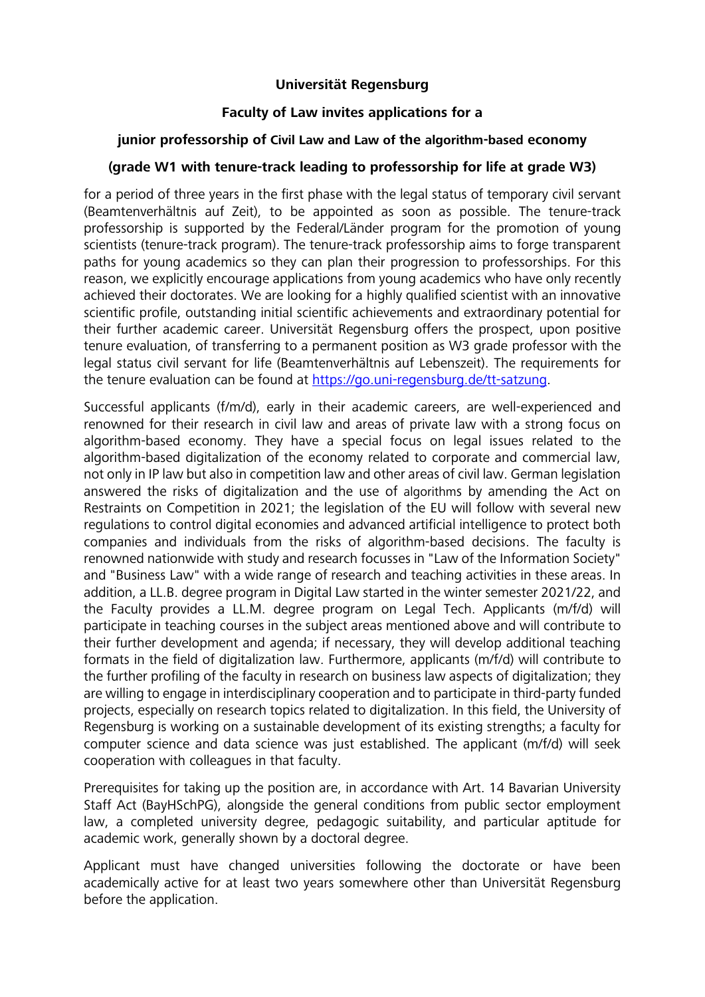#### **Universität Regensburg**

## **Faculty of Law invites applications for a**

## **junior professorship of Civil Law and Law of the algorithm-based economy**

# **(grade W1 with tenure-track leading to professorship for life at grade W3)**

for a period of three years in the first phase with the legal status of temporary civil servant (Beamtenverhältnis auf Zeit), to be appointed as soon as possible. The tenure-track professorship is supported by the Federal/Länder program for the promotion of young scientists (tenure-track program). The tenure-track professorship aims to forge transparent paths for young academics so they can plan their progression to professorships. For this reason, we explicitly encourage applications from young academics who have only recently achieved their doctorates. We are looking for a highly qualified scientist with an innovative scientific profile, outstanding initial scientific achievements and extraordinary potential for their further academic career. Universität Regensburg offers the prospect, upon positive tenure evaluation, of transferring to a permanent position as W3 grade professor with the legal status civil servant for life (Beamtenverhältnis auf Lebenszeit). The requirements for the tenure evaluation can be found at https://go.uni-regensburg.de/tt-satzung.

Successful applicants (f/m/d), early in their academic careers, are well-experienced and renowned for their research in civil law and areas of private law with a strong focus on algorithm-based economy. They have a special focus on legal issues related to the algorithm-based digitalization of the economy related to corporate and commercial law, not only in IP law but also in competition law and other areas of civil law. German legislation answered the risks of digitalization and the use of algorithms by amending the Act on Restraints on Competition in 2021; the legislation of the EU will follow with several new regulations to control digital economies and advanced artificial intelligence to protect both companies and individuals from the risks of algorithm-based decisions. The faculty is renowned nationwide with study and research focusses in "Law of the Information Society" and "Business Law" with a wide range of research and teaching activities in these areas. In addition, a LL.B. degree program in Digital Law started in the winter semester 2021/22, and the Faculty provides a LL.M. degree program on Legal Tech. Applicants (m/f/d) will participate in teaching courses in the subject areas mentioned above and will contribute to their further development and agenda; if necessary, they will develop additional teaching formats in the field of digitalization law. Furthermore, applicants (m/f/d) will contribute to the further profiling of the faculty in research on business law aspects of digitalization; they are willing to engage in interdisciplinary cooperation and to participate in third-party funded projects, especially on research topics related to digitalization. In this field, the University of Regensburg is working on a sustainable development of its existing strengths; a faculty for computer science and data science was just established. The applicant (m/f/d) will seek cooperation with colleagues in that faculty.

Prerequisites for taking up the position are, in accordance with Art. 14 Bavarian University Staff Act (BayHSchPG), alongside the general conditions from public sector employment law, a completed university degree, pedagogic suitability, and particular aptitude for academic work, generally shown by a doctoral degree.

Applicant must have changed universities following the doctorate or have been academically active for at least two years somewhere other than Universität Regensburg before the application.